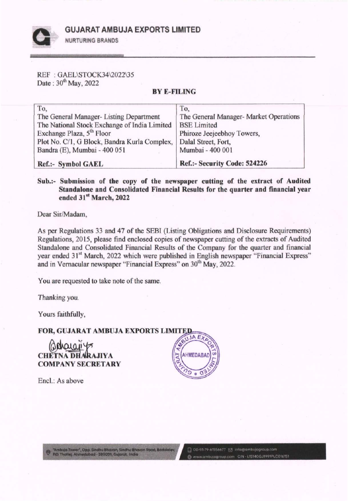GUJARAT AMBUJA EXPORTS LIMITED



NURTURING BRANDS

REF : GAEL\STOCK34\2022\35 Date:  $30^{th}$  May, 2022

## BYE-FILING

| To.                                          | To,                                    |
|----------------------------------------------|----------------------------------------|
| The General Manager- Listing Department      | The General Manager- Market Operations |
| The National Stock Exchange of India Limited | <b>BSE Limited</b>                     |
| Exchange Plaza, 5 <sup>th</sup> Floor        | Phiroze Jeejeebhoy Towers,             |
| Plot No. C/1, G Block, Bandra Kurla Complex, | Dalal Street, Fort,                    |
| Bandra (E), Mumbai - 400 051                 | Mumbai - 400 001                       |
| Ref.:- Symbol GAEL                           | Ref.:- Security Code: 524226           |

Sub.:- Submission of the copy of the newspaper cutting of the extract of Audited Standalone and Consolidated Financial Results for the quarter and financial year ended 31st March, 2022

Dear Sir/Madam,

As per Regulations 33 and 47 of the SEBI (Listing Obligations and Disclosure Requirements) Regulations, 2015, please find enclosed copies of newspaper cutting of the extracts of Audited Standalone and Consolidated Financial Results of the Company for the quarter and financial year ended 31<sup>st</sup> March, 2022 which were published in English newspaper "Financial Express" and in Vernacular newspaper "Financial Express" on 30<sup>th</sup> May, 2022.

You are requested to take note of the same.

Thanking you.

Yours faithfully,

**FOR, GUJARAT AMBUJA EXPORTS LIMITED** 

CHETNA DHARAJIYA COMPANY SECRETARY

Encl.: As above

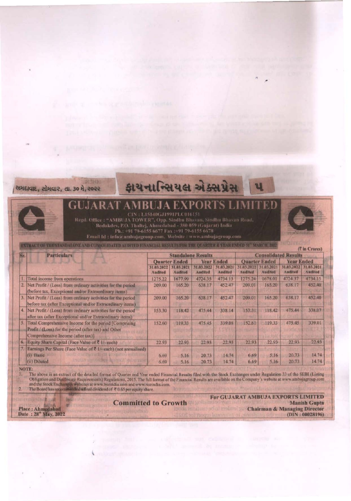

## કાયનાન્સિયલ એક્સપ્રેસ

## CIN: L15140GJ1991PLC016151

Regd. Office : "AMBUJA TOWER", Opp. Sindhu Bhavan, Sindhu Bhavan Road, Bodakdev, P.O. Thaitej, Ahmedabad - 380 059 (Gujarat) India<br>Ph.: +91 79-6155 6677 Fax : +91 79-6155 6678

Email Id: info@ambujagroup.com. Website: www.ambujagroup.com

NTRACT OF THE STANDALONE AND CONSOLIDATED AUDITED FINANCIAL RESULTS FOR THE QUARTER & YEAR ENDED 31" MARCH, 1022

**Consolidated Results Particulars Standalone Results Quarter Ended Year Ended Quarter Ended Year Ended** 31.03.2021 31.03.2022 31.03.2021 03.2022 31.03.2021 31.03.2022 31.03.2021 31.03.2022 Audited **Audited Audited** Audited Audited Audited Audited Audited 4724.37 Total income from operations 1275.22 1677.99 4724.35 4734.13 1275.24 1678.01 4734.15 1. 209.01 165.20 638 17 452.40  $\overline{2}$ Net Profit / (Loss) from ordinary activities for the period 209.00 165.20 638.17 452.47 (before tax, Exceptional and/or Extraordinary items)  $\overline{3}$ 452.47 209.01 165.20 638.17 452.40 Net Profit / (Loss) from ordinary activities for the period 209.00 165.20 638.17 before tax (after Exceptional and/or Extraordinary items)  $\overline{4}$ Net Profit / (Loss) from ordinary activities for the period 153.31 118.42 475.44 338.07 153.30 118.42 475.44 338.14 after tax (after Exceptional and/or Extraordinary items)  $\overline{\mathbf{s}}$ 339.01 Total Comprehensive Income for the period [Comprising 152.60 119.33 475.45 339.08 152.61 119.33 475.45 Profit / (Loss) for the period (after tax) and Other Comprehensive Income (after tax)]  $6.$ Equity Share Capital (Face Value of ₹ 1/- each) 22.93 22.93  $72.93$ 22.93 22.93 22.93 22.93 22.93  $\overline{\sigma}$ Earnings Per Share (Face Value of ₹ 1/- each) (not annualised) (i) Basic 20.73  $14.74$ 6.69  $$16$ 20.73 14.74 6.69  $5.16$ (ii) Diluted 14.74 20.73 14.74 6.69  $5.16$ 20.73 6.69  $5.16$ 

## NOTE:

The above is an extract of the detailed format of Quarter and Year ended Financial Results filed with the Stock Exchanges under Regulation 33 of the SEBI (Listing 1. Obligation and Disclosure Requirements) Regulations, 2015. The full format of the Financial Results are available on the Company's website at www.ambujagroup.com and the Stock Exchanges websites at www.bseindia.com and www.nseindia.com.<br>The Board has recommended a final dividend of  $\sqrt[2]{6.65}$  per equity share.  $2.$ 

**Place: Ahmedabad** Date: 28" May, 2022 **Committed to Growth** 

For GUJARAT AMBUJA EXPORTS LIMITED **Manish Gupta Chairman & Managing Director**  $(DIN:00028196)$ 

**(7 in Crores)**